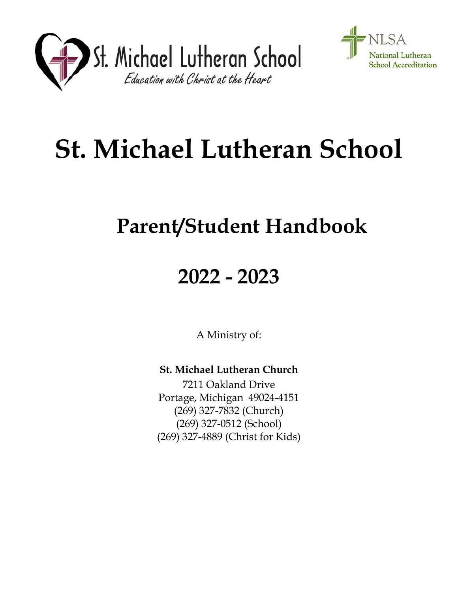



# **St. Michael Lutheran School**

## **Parent/Student Handbook**

## **2022 - 2023**

A Ministry of:

**St. Michael Lutheran Church**

7211 Oakland Drive Portage, Michigan 49024-4151 (269) 327-7832 (Church) (269) 327-0512 (School) (269) 327-4889 (Christ for Kids)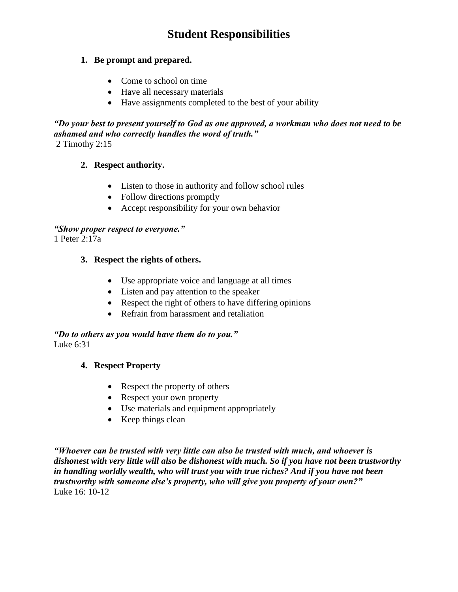### **Student Responsibilities**

#### **1. Be prompt and prepared.**

- Come to school on time
- Have all necessary materials
- Have assignments completed to the best of your ability

*"Do your best to present yourself to God as one approved, a workman who does not need to be ashamed and who correctly handles the word of truth."* 2 Timothy 2:15

#### **2. Respect authority.**

- Listen to those in authority and follow school rules
- Follow directions promptly
- Accept responsibility for your own behavior

#### *"Show proper respect to everyone."*

1 Peter 2:17a

#### **3. Respect the rights of others.**

- Use appropriate voice and language at all times
- Listen and pay attention to the speaker
- Respect the right of others to have differing opinions
- Refrain from harassment and retaliation

*"Do to others as you would have them do to you."* Luke 6:31

#### **4. Respect Property**

- Respect the property of others
- Respect your own property
- Use materials and equipment appropriately
- $\bullet$  Keep things clean

*"Whoever can be trusted with very little can also be trusted with much, and whoever is dishonest with very little will also be dishonest with much. So if you have not been trustworthy in handling worldly wealth, who will trust you with true riches? And if you have not been trustworthy with someone else's property, who will give you property of your own?"* Luke 16: 10-12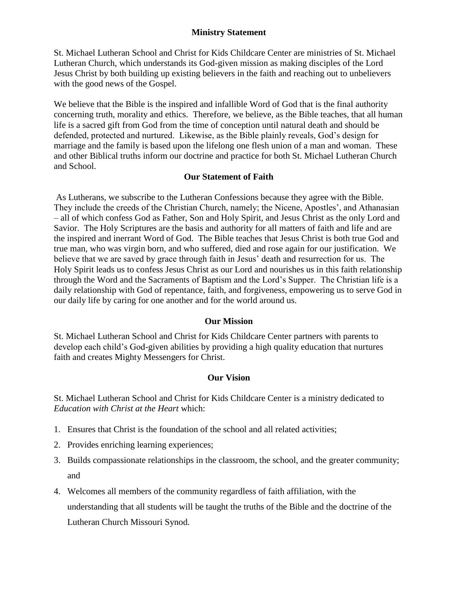#### **Ministry Statement**

St. Michael Lutheran School and Christ for Kids Childcare Center are ministries of St. Michael Lutheran Church, which understands its God-given mission as making disciples of the Lord Jesus Christ by both building up existing believers in the faith and reaching out to unbelievers with the good news of the Gospel.

We believe that the Bible is the inspired and infallible Word of God that is the final authority concerning truth, morality and ethics. Therefore, we believe, as the Bible teaches, that all human life is a sacred gift from God from the time of conception until natural death and should be defended, protected and nurtured. Likewise, as the Bible plainly reveals, God's design for marriage and the family is based upon the lifelong one flesh union of a man and woman. These and other Biblical truths inform our doctrine and practice for both St. Michael Lutheran Church and School.

#### **Our Statement of Faith**

As Lutherans, we subscribe to the Lutheran Confessions because they agree with the Bible. They include the creeds of the Christian Church, namely; the Nicene, Apostles', and Athanasian – all of which confess God as Father, Son and Holy Spirit, and Jesus Christ as the only Lord and Savior. The Holy Scriptures are the basis and authority for all matters of faith and life and are the inspired and inerrant Word of God. The Bible teaches that Jesus Christ is both true God and true man, who was virgin born, and who suffered, died and rose again for our justification. We believe that we are saved by grace through faith in Jesus' death and resurrection for us. The Holy Spirit leads us to confess Jesus Christ as our Lord and nourishes us in this faith relationship through the Word and the Sacraments of Baptism and the Lord's Supper. The Christian life is a daily relationship with God of repentance, faith, and forgiveness, empowering us to serve God in our daily life by caring for one another and for the world around us.

#### **Our Mission**

St. Michael Lutheran School and Christ for Kids Childcare Center partners with parents to develop each child's God-given abilities by providing a high quality education that nurtures faith and creates Mighty Messengers for Christ.

#### **Our Vision**

St. Michael Lutheran School and Christ for Kids Childcare Center is a ministry dedicated to *Education with Christ at the Heart* which:

- 1. Ensures that Christ is the foundation of the school and all related activities;
- 2. Provides enriching learning experiences;
- 3. Builds compassionate relationships in the classroom, the school, and the greater community; and
- 4. Welcomes all members of the community regardless of faith affiliation, with the understanding that all students will be taught the truths of the Bible and the doctrine of the Lutheran Church Missouri Synod.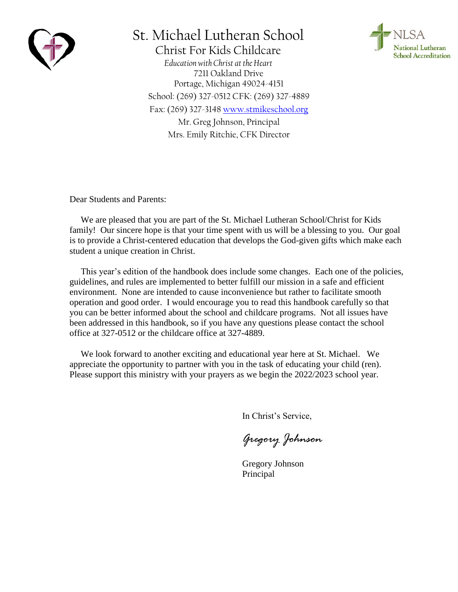

## St. Michael Lutheran School

**National Lutheran School Accreditation** 

Christ For Kids Childcare *Education with Christ at the Heart* 7211 Oakland Drive Portage, Michigan 49024-4151 School: (269) 327-0512 CFK: (269) 327-4889 Fax: (269) 327-3148 [www.stmikeschool.org](http://www.stmikeschool.org/) Mr. Greg Johnson, Principal Mrs. Emily Ritchie, CFK Director

Dear Students and Parents:

We are pleased that you are part of the St. Michael Lutheran School/Christ for Kids family! Our sincere hope is that your time spent with us will be a blessing to you. Our goal is to provide a Christ-centered education that develops the God-given gifts which make each student a unique creation in Christ.

This year's edition of the handbook does include some changes. Each one of the policies, guidelines, and rules are implemented to better fulfill our mission in a safe and efficient environment. None are intended to cause inconvenience but rather to facilitate smooth operation and good order. I would encourage you to read this handbook carefully so that you can be better informed about the school and childcare programs. Not all issues have been addressed in this handbook, so if you have any questions please contact the school office at 327-0512 or the childcare office at 327-4889.

We look forward to another exciting and educational year here at St. Michael. We appreciate the opportunity to partner with you in the task of educating your child (ren). Please support this ministry with your prayers as we begin the 2022/2023 school year.

In Christ's Service,

*Gregory Johnson*

Gregory Johnson Principal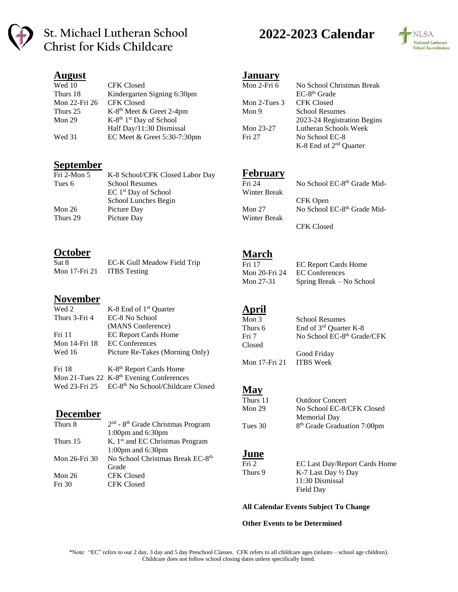

### **St. Michael Lutheran School Christ for Kids Childcare**

#### **August**

| Wed 10        | <b>CFK Closed</b>                               |
|---------------|-------------------------------------------------|
| Thurs 18      | Kindergarten Signing 6:30pm                     |
| Mon 22-Fri 26 | <b>CFK Closed</b>                               |
| Thurs 25      | K-8 <sup>th</sup> Meet & Greet 2-4pm            |
| Mon $29$      | K-8 <sup>th</sup> 1 <sup>st</sup> Day of School |
|               | Half Day/11:30 Dismissal                        |
| Wed 31        | EC Meet & Greet 5:30-7:30pm                     |

#### **September**

| K-8 School/CFK Closed Labor Day |
|---------------------------------|
| School Resumes                  |
| $EC 1st$ Day of School          |
| School Lunches Begin            |
| Picture Day                     |
| Picture Day                     |
|                                 |

#### **October**

| Sat 8         | EC-K Gull Meadow Field Trip |
|---------------|-----------------------------|
| Mon 17-Fri 21 | <b>ITBS</b> Testing         |

#### **November**

| Wed 2         | K-8 End of $1st$ Quarter                             |  |
|---------------|------------------------------------------------------|--|
| Thurs 3-Fri 4 | EC-8 No School                                       |  |
|               | (MANS Conference)                                    |  |
| Fri 11        | <b>EC Report Cards Home</b>                          |  |
| Mon 14-Fri 18 | <b>EC</b> Conferences                                |  |
| Wed 16        | Picture Re-Takes (Morning Only)                      |  |
| Fri 18        | K-8 <sup>th</sup> Report Cards Home                  |  |
|               | Mon 21-Tues 22 K-8 <sup>th</sup> Evening Conferences |  |
| Wed 23-Fri 25 | EC-8 <sup>th</sup> No School/Childcare Closed        |  |

#### **December**

| Thurs 8       | 2 <sup>nd</sup> - 8 <sup>th</sup> Grade Christmas Program |
|---------------|-----------------------------------------------------------|
|               | 1:00pm and $6:30$ pm                                      |
| Thurs 15      | K, $1st$ and EC Christmas Program                         |
|               | 1:00pm and $6:30$ pm                                      |
| Mon 26-Fri 30 | No School Christmas Break EC-8th                          |
|               | Grade                                                     |
| Mon $26$      | <b>CFK Closed</b>                                         |
| Fri 30        | <b>CFK Closed</b>                                         |
|               |                                                           |

## **2022-2023 Calendar**



#### **January**

| Mon 2-Fri 6       | No School Christmas Break          |
|-------------------|------------------------------------|
|                   | $EC-8th$ Grade                     |
| Mon $2$ -Tues $3$ | <b>CFK Closed</b>                  |
| Mon 9             | <b>School Resumes</b>              |
|                   | 2023-24 Registration Begins        |
| Mon 23-27         | Lutheran Schools Week              |
| Fri 27            | No School EC-8                     |
|                   | K-8 End of 2 <sup>nd</sup> Quarter |

#### **February**

| Fri 24       | No School EC-8 <sup>th</sup> Grade Mid- |
|--------------|-----------------------------------------|
| Winter Break |                                         |
|              | CFK Open                                |
| Mon $27$     | No School EC-8 <sup>th</sup> Grade Mid- |
| Winter Break |                                         |
|              | <b>CFK Closed</b>                       |

#### **March**

| Fri 17        | <b>EC Report Cards Home</b> |
|---------------|-----------------------------|
| Mon 20-Fri 24 | <b>EC</b> Conferences       |
| Mon 27-31     | Spring Break – No School    |

#### **April**

| Mon $3$       | School Resumes                         |
|---------------|----------------------------------------|
| Thurs 6       | End of 3 <sup>rd</sup> Quarter K-8     |
| Fri 7         | No School EC-8 <sup>th</sup> Grade/CFK |
| Closed        |                                        |
|               | Good Friday                            |
| Mon 17-Fri 21 | <b>ITBS</b> Week                       |
|               |                                        |

#### **May**

| Thurs 11 | <b>Outdoor Concert</b>                  |
|----------|-----------------------------------------|
| Mon 29   | No School EC-8/CFK Closed               |
|          | Memorial Day                            |
| Tues 30  | 8 <sup>th</sup> Grade Graduation 7:00pm |

#### **June**

```
Fri 2 EC Last Day/Report Cards Home
Thurs 9 K-7 Last Day \frac{1}{2} Day
                11:30 Dismissal
               Field Day
```
#### **All Calendar Events Subject To Change**

#### **Other Events to be Determined**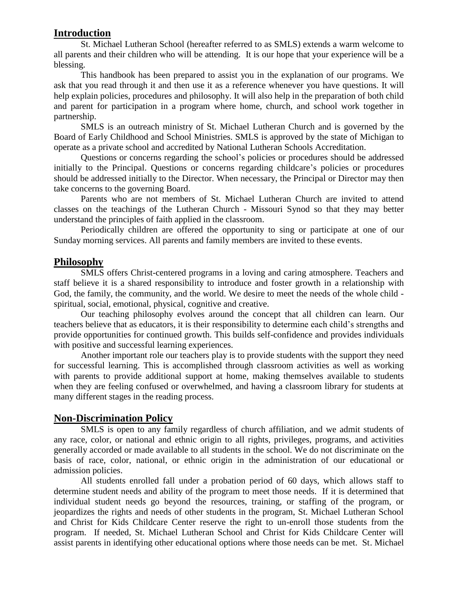#### **Introduction**

St. Michael Lutheran School (hereafter referred to as SMLS) extends a warm welcome to all parents and their children who will be attending. It is our hope that your experience will be a blessing.

This handbook has been prepared to assist you in the explanation of our programs. We ask that you read through it and then use it as a reference whenever you have questions. It will help explain policies, procedures and philosophy. It will also help in the preparation of both child and parent for participation in a program where home, church, and school work together in partnership.

SMLS is an outreach ministry of St. Michael Lutheran Church and is governed by the Board of Early Childhood and School Ministries. SMLS is approved by the state of Michigan to operate as a private school and accredited by National Lutheran Schools Accreditation.

Questions or concerns regarding the school's policies or procedures should be addressed initially to the Principal. Questions or concerns regarding childcare's policies or procedures should be addressed initially to the Director. When necessary, the Principal or Director may then take concerns to the governing Board.

Parents who are not members of St. Michael Lutheran Church are invited to attend classes on the teachings of the Lutheran Church - Missouri Synod so that they may better understand the principles of faith applied in the classroom.

Periodically children are offered the opportunity to sing or participate at one of our Sunday morning services. All parents and family members are invited to these events.

#### **Philosophy**

SMLS offers Christ-centered programs in a loving and caring atmosphere. Teachers and staff believe it is a shared responsibility to introduce and foster growth in a relationship with God, the family, the community, and the world. We desire to meet the needs of the whole child spiritual, social, emotional, physical, cognitive and creative.

Our teaching philosophy evolves around the concept that all children can learn. Our teachers believe that as educators, it is their responsibility to determine each child's strengths and provide opportunities for continued growth. This builds self-confidence and provides individuals with positive and successful learning experiences.

Another important role our teachers play is to provide students with the support they need for successful learning. This is accomplished through classroom activities as well as working with parents to provide additional support at home, making themselves available to students when they are feeling confused or overwhelmed, and having a classroom library for students at many different stages in the reading process.

#### **Non-Discrimination Policy**

SMLS is open to any family regardless of church affiliation, and we admit students of any race, color, or national and ethnic origin to all rights, privileges, programs, and activities generally accorded or made available to all students in the school. We do not discriminate on the basis of race, color, national, or ethnic origin in the administration of our educational or admission policies.

All students enrolled fall under a probation period of 60 days, which allows staff to determine student needs and ability of the program to meet those needs. If it is determined that individual student needs go beyond the resources, training, or staffing of the program, or jeopardizes the rights and needs of other students in the program, St. Michael Lutheran School and Christ for Kids Childcare Center reserve the right to un-enroll those students from the program. If needed, St. Michael Lutheran School and Christ for Kids Childcare Center will assist parents in identifying other educational options where those needs can be met. St. Michael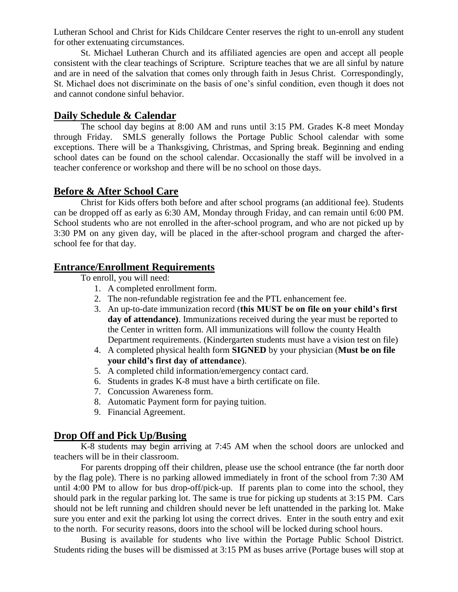Lutheran School and Christ for Kids Childcare Center reserves the right to un-enroll any student for other extenuating circumstances.

St. Michael Lutheran Church and its affiliated agencies are open and accept all people consistent with the clear teachings of Scripture. Scripture teaches that we are all sinful by nature and are in need of the salvation that comes only through faith in Jesus Christ. Correspondingly, St. Michael does not discriminate on the basis of one's sinful condition, even though it does not and cannot condone sinful behavior.

#### **Daily Schedule & Calendar**

The school day begins at 8:00 AM and runs until 3:15 PM. Grades K-8 meet Monday through Friday. SMLS generally follows the Portage Public School calendar with some exceptions. There will be a Thanksgiving, Christmas, and Spring break. Beginning and ending school dates can be found on the school calendar. Occasionally the staff will be involved in a teacher conference or workshop and there will be no school on those days.

#### **Before & After School Care**

Christ for Kids offers both before and after school programs (an additional fee). Students can be dropped off as early as 6:30 AM, Monday through Friday, and can remain until 6:00 PM. School students who are not enrolled in the after-school program, and who are not picked up by 3:30 PM on any given day, will be placed in the after-school program and charged the afterschool fee for that day.

#### **Entrance/Enrollment Requirements**

To enroll, you will need:

- 1. A completed enrollment form.
- 2. The non-refundable registration fee and the PTL enhancement fee.
- 3. An up-to-date immunization record (**this MUST be on file on your child's first day of attendance)**. Immunizations received during the year must be reported to the Center in written form. All immunizations will follow the county Health Department requirements. (Kindergarten students must have a vision test on file)
- 4. A completed physical health form **SIGNED** by your physician (**Must be on file your child's first day of attendance**).
- 5. A completed child information/emergency contact card.
- 6. Students in grades K-8 must have a birth certificate on file.
- 7. Concussion Awareness form.
- 8. Automatic Payment form for paying tuition.
- 9. Financial Agreement.

#### **Drop Off and Pick Up/Busing**

K-8 students may begin arriving at 7:45 AM when the school doors are unlocked and teachers will be in their classroom.

For parents dropping off their children, please use the school entrance (the far north door by the flag pole). There is no parking allowed immediately in front of the school from 7:30 AM until 4:00 PM to allow for bus drop-off/pick-up. If parents plan to come into the school, they should park in the regular parking lot. The same is true for picking up students at 3:15 PM. Cars should not be left running and children should never be left unattended in the parking lot. Make sure you enter and exit the parking lot using the correct drives. Enter in the south entry and exit to the north. For security reasons, doors into the school will be locked during school hours.

Busing is available for students who live within the Portage Public School District. Students riding the buses will be dismissed at 3:15 PM as buses arrive (Portage buses will stop at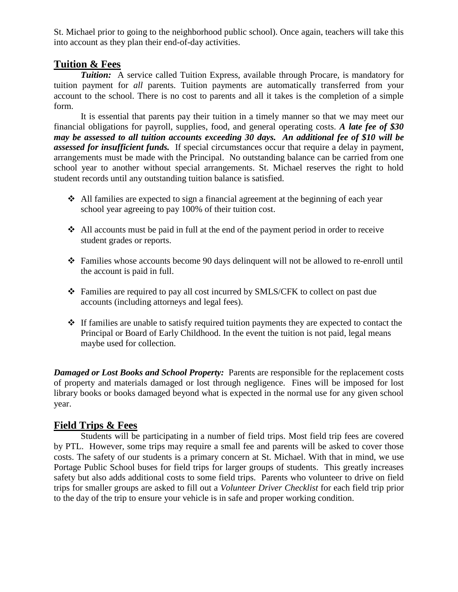St. Michael prior to going to the neighborhood public school). Once again, teachers will take this into account as they plan their end-of-day activities.

#### **Tuition & Fees**

*Tuition:* A service called Tuition Express, available through Procare, is mandatory for tuition payment for *all* parents. Tuition payments are automatically transferred from your account to the school. There is no cost to parents and all it takes is the completion of a simple form.

It is essential that parents pay their tuition in a timely manner so that we may meet our financial obligations for payroll, supplies, food, and general operating costs. *A late fee of \$30 may be assessed to all tuition accounts exceeding 30 days. An additional fee of \$10 will be assessed for insufficient funds.* If special circumstances occur that require a delay in payment, arrangements must be made with the Principal. No outstanding balance can be carried from one school year to another without special arrangements. St. Michael reserves the right to hold student records until any outstanding tuition balance is satisfied.

- $\triangle$  All families are expected to sign a financial agreement at the beginning of each year school year agreeing to pay 100% of their tuition cost.
- All accounts must be paid in full at the end of the payment period in order to receive student grades or reports.
- Families whose accounts become 90 days delinquent will not be allowed to re-enroll until the account is paid in full.
- Families are required to pay all cost incurred by SMLS/CFK to collect on past due accounts (including attorneys and legal fees).
- $\triangle$  If families are unable to satisfy required tuition payments they are expected to contact the Principal or Board of Early Childhood. In the event the tuition is not paid, legal means maybe used for collection.

**Damaged or Lost Books and School Property:** Parents are responsible for the replacement costs of property and materials damaged or lost through negligence. Fines will be imposed for lost library books or books damaged beyond what is expected in the normal use for any given school year.

#### **Field Trips & Fees**

Students will be participating in a number of field trips. Most field trip fees are covered by PTL. However, some trips may require a small fee and parents will be asked to cover those costs. The safety of our students is a primary concern at St. Michael. With that in mind, we use Portage Public School buses for field trips for larger groups of students. This greatly increases safety but also adds additional costs to some field trips. Parents who volunteer to drive on field trips for smaller groups are asked to fill out a *Volunteer Driver Checklist* for each field trip prior to the day of the trip to ensure your vehicle is in safe and proper working condition.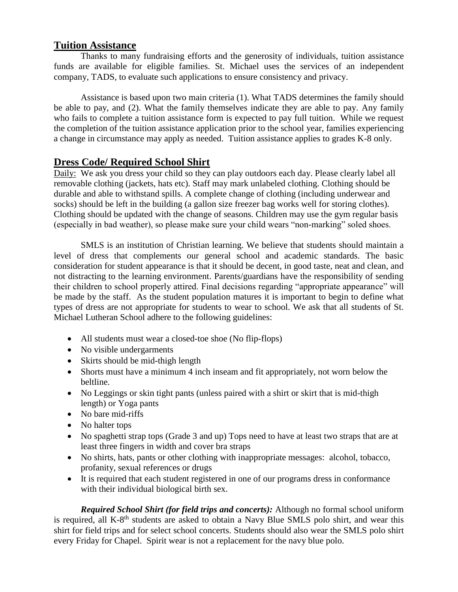#### **Tuition Assistance**

Thanks to many fundraising efforts and the generosity of individuals, tuition assistance funds are available for eligible families. St. Michael uses the services of an independent company, TADS, to evaluate such applications to ensure consistency and privacy.

Assistance is based upon two main criteria (1). What TADS determines the family should be able to pay, and (2). What the family themselves indicate they are able to pay. Any family who fails to complete a tuition assistance form is expected to pay full tuition. While we request the completion of the tuition assistance application prior to the school year, families experiencing a change in circumstance may apply as needed. Tuition assistance applies to grades K-8 only.

#### **Dress Code/ Required School Shirt**

Daily: We ask you dress your child so they can play outdoors each day. Please clearly label all removable clothing (jackets, hats etc). Staff may mark unlabeled clothing. Clothing should be durable and able to withstand spills. A complete change of clothing (including underwear and socks) should be left in the building (a gallon size freezer bag works well for storing clothes). Clothing should be updated with the change of seasons. Children may use the gym regular basis (especially in bad weather), so please make sure your child wears "non-marking" soled shoes.

SMLS is an institution of Christian learning. We believe that students should maintain a level of dress that complements our general school and academic standards. The basic consideration for student appearance is that it should be decent, in good taste, neat and clean, and not distracting to the learning environment. Parents/guardians have the responsibility of sending their children to school properly attired. Final decisions regarding "appropriate appearance" will be made by the staff. As the student population matures it is important to begin to define what types of dress are not appropriate for students to wear to school. We ask that all students of St. Michael Lutheran School adhere to the following guidelines:

- All students must wear a closed-toe shoe (No flip-flops)
- No visible undergarments
- Skirts should be mid-thigh length
- Shorts must have a minimum 4 inch inseam and fit appropriately, not worn below the beltline.
- No Leggings or skin tight pants (unless paired with a shirt or skirt that is mid-thigh length) or Yoga pants
- No bare mid-riffs
- No halter tops
- No spaghetti strap tops (Grade 3 and up) Tops need to have at least two straps that are at least three fingers in width and cover bra straps
- No shirts, hats, pants or other clothing with inappropriate messages: alcohol, tobacco, profanity, sexual references or drugs
- It is required that each student registered in one of our programs dress in conformance with their individual biological birth sex.

*Required School Shirt (for field trips and concerts):* Although no formal school uniform is required, all K-8<sup>th</sup> students are asked to obtain a Navy Blue SMLS polo shirt, and wear this shirt for field trips and for select school concerts. Students should also wear the SMLS polo shirt every Friday for Chapel. Spirit wear is not a replacement for the navy blue polo.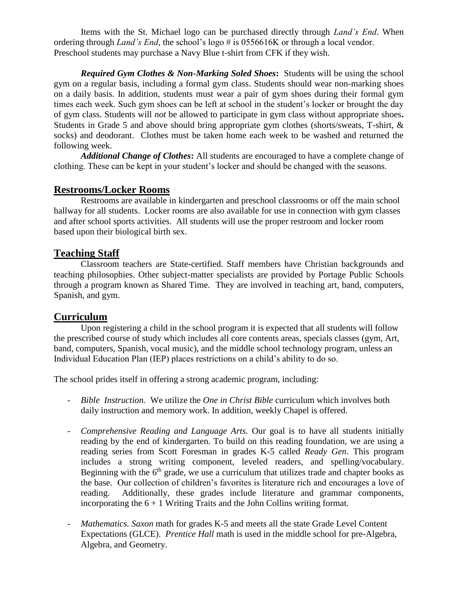Items with the St. Michael logo can be purchased directly through *Land's End*. When ordering through *Land's End*, the school's logo # is 0556616K or through a local vendor. Preschool students may purchase a Navy Blue t-shirt from CFK if they wish.

*Required Gym Clothes & Non-Marking Soled Shoes***:** Students will be using the school gym on a regular basis, including a formal gym class. Students should wear non-marking shoes on a daily basis. In addition, students must wear a pair of gym shoes during their formal gym times each week. Such gym shoes can be left at school in the student's locker or brought the day of gym class. Students will *not* be allowed to participate in gym class without appropriate shoes**.**  Students in Grade 5 and above should bring appropriate gym clothes (shorts/sweats, T-shirt, & socks) and deodorant. Clothes must be taken home each week to be washed and returned the following week.

*Additional Change of Clothes***:** All students are encouraged to have a complete change of clothing. These can be kept in your student's locker and should be changed with the seasons.

#### **Restrooms/Locker Rooms**

Restrooms are available in kindergarten and preschool classrooms or off the main school hallway for all students. Locker rooms are also available for use in connection with gym classes and after school sports activities. All students will use the proper restroom and locker room based upon their biological birth sex.

#### **Teaching Staff**

Classroom teachers are State-certified. Staff members have Christian backgrounds and teaching philosophies. Other subject-matter specialists are provided by Portage Public Schools through a program known as Shared Time. They are involved in teaching art, band, computers, Spanish, and gym.

#### **Curriculum**

Upon registering a child in the school program it is expected that all students will follow the prescribed course of study which includes all core contents areas, specials classes (gym, Art, band, computers, Spanish, vocal music), and the middle school technology program, unless an Individual Education Plan (IEP) places restrictions on a child's ability to do so.

The school prides itself in offering a strong academic program, including:

- *Bible Instruction.* We utilize the *One in Christ Bible* curriculum which involves both daily instruction and memory work. In addition, weekly Chapel is offered.
- *Comprehensive Reading and Language Arts.* Our goal is to have all students initially reading by the end of kindergarten. To build on this reading foundation, we are using a reading series from Scott Foresman in grades K-5 called *Ready Gen*. This program includes a strong writing component, leveled readers, and spelling/vocabulary. Beginning with the  $6<sup>th</sup>$  grade, we use a curriculum that utilizes trade and chapter books as the base. Our collection of children's favorites is literature rich and encourages a love of reading. Additionally, these grades include literature and grammar components, incorporating the  $6 + 1$  Writing Traits and the John Collins writing format.
- *Mathematics. Saxon* math for grades K-5 and meets all the state Grade Level Content Expectations (GLCE). *Prentice Hall* math is used in the middle school for pre-Algebra, Algebra, and Geometry.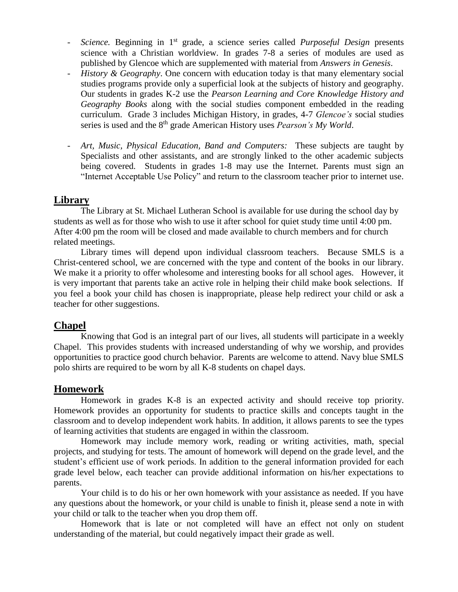- *Science.* Beginning in 1 st grade, a science series called *Purposeful Design* presents science with a Christian worldview. In grades 7-8 a series of modules are used as published by Glencoe which are supplemented with material from *Answers in Genesis*.
- *History & Geography*. One concern with education today is that many elementary social studies programs provide only a superficial look at the subjects of history and geography. Our students in grades K-2 use the *Pearson Learning and Core Knowledge History and Geography Books* along with the social studies component embedded in the reading curriculum. Grade 3 includes Michigan History, in grades, 4-7 *Glencoe's* social studies series is used and the 8 th grade American History uses *Pearson's My World*.
- Art, Music, Physical Education, Band and Computers: These subjects are taught by Specialists and other assistants, and are strongly linked to the other academic subjects being covered. Students in grades 1-8 may use the Internet. Parents must sign an "Internet Acceptable Use Policy" and return to the classroom teacher prior to internet use.

#### **Library**

The Library at St. Michael Lutheran School is available for use during the school day by students as well as for those who wish to use it after school for quiet study time until 4:00 pm. After 4:00 pm the room will be closed and made available to church members and for church related meetings.

Library times will depend upon individual classroom teachers. Because SMLS is a Christ-centered school, we are concerned with the type and content of the books in our library. We make it a priority to offer wholesome and interesting books for all school ages. However, it is very important that parents take an active role in helping their child make book selections. If you feel a book your child has chosen is inappropriate, please help redirect your child or ask a teacher for other suggestions.

#### **Chapel**

Knowing that God is an integral part of our lives, all students will participate in a weekly Chapel. This provides students with increased understanding of why we worship, and provides opportunities to practice good church behavior. Parents are welcome to attend. Navy blue SMLS polo shirts are required to be worn by all K-8 students on chapel days.

#### **Homework**

Homework in grades K-8 is an expected activity and should receive top priority. Homework provides an opportunity for students to practice skills and concepts taught in the classroom and to develop independent work habits. In addition, it allows parents to see the types of learning activities that students are engaged in within the classroom.

Homework may include memory work, reading or writing activities, math, special projects, and studying for tests. The amount of homework will depend on the grade level, and the student's efficient use of work periods. In addition to the general information provided for each grade level below, each teacher can provide additional information on his/her expectations to parents.

Your child is to do his or her own homework with your assistance as needed. If you have any questions about the homework, or your child is unable to finish it, please send a note in with your child or talk to the teacher when you drop them off.

Homework that is late or not completed will have an effect not only on student understanding of the material, but could negatively impact their grade as well.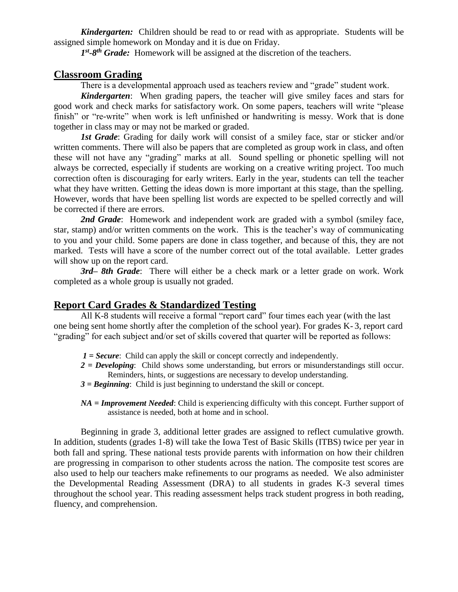*Kindergarten:* Children should be read to or read with as appropriate. Students will be assigned simple homework on Monday and it is due on Friday.

1<sup>st</sup>-8<sup>th</sup> Grade: Homework will be assigned at the discretion of the teachers.

#### **Classroom Grading**

There is a developmental approach used as teachers review and "grade" student work.

*Kindergarten*: When grading papers, the teacher will give smiley faces and stars for good work and check marks for satisfactory work. On some papers, teachers will write "please finish" or "re-write" when work is left unfinished or handwriting is messy. Work that is done together in class may or may not be marked or graded.

*1st Grade*: Grading for daily work will consist of a smiley face, star or sticker and/or written comments. There will also be papers that are completed as group work in class, and often these will not have any "grading" marks at all. Sound spelling or phonetic spelling will not always be corrected, especially if students are working on a creative writing project. Too much correction often is discouraging for early writers. Early in the year, students can tell the teacher what they have written. Getting the ideas down is more important at this stage, than the spelling. However, words that have been spelling list words are expected to be spelled correctly and will be corrected if there are errors.

**2nd Grade**: Homework and independent work are graded with a symbol (smiley face, star, stamp) and/or written comments on the work. This is the teacher's way of communicating to you and your child. Some papers are done in class together, and because of this, they are not marked. Tests will have a score of the number correct out of the total available. Letter grades will show up on the report card.

*3rd– 8th Grade*: There will either be a check mark or a letter grade on work. Work completed as a whole group is usually not graded.

#### **Report Card Grades & Standardized Testing**

All K-8 students will receive a formal "report card" four times each year (with the last one being sent home shortly after the completion of the school year). For grades K- 3, report card "grading" for each subject and/or set of skills covered that quarter will be reported as follows:

- *1 = Secure*: Child can apply the skill or concept correctly and independently.
- *2 = Developing*: Child shows some understanding, but errors or misunderstandings still occur. Reminders, hints, or suggestions are necessary to develop understanding.
- *3 = Beginning*: Child is just beginning to understand the skill or concept.
- *NA = Improvement Needed*: Child is experiencing difficulty with this concept. Further support of assistance is needed, both at home and in school.

Beginning in grade 3, additional letter grades are assigned to reflect cumulative growth. In addition, students (grades 1-8) will take the Iowa Test of Basic Skills (ITBS) twice per year in both fall and spring. These national tests provide parents with information on how their children are progressing in comparison to other students across the nation. The composite test scores are also used to help our teachers make refinements to our programs as needed. We also administer the Developmental Reading Assessment (DRA) to all students in grades K-3 several times throughout the school year. This reading assessment helps track student progress in both reading, fluency, and comprehension.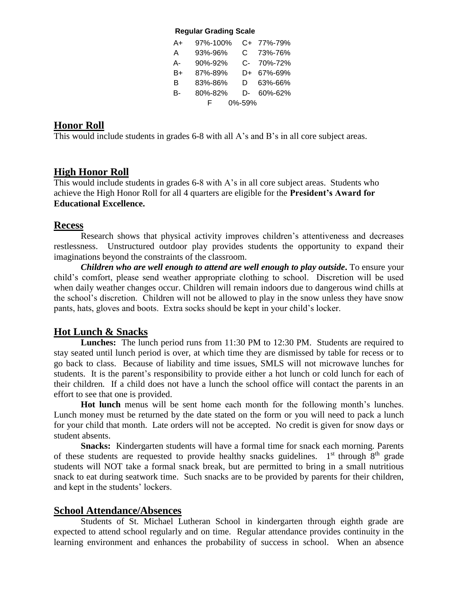#### **Regular Grading Scale**

| A+ | 97%-100% |        | C+ 77%-79% |
|----|----------|--------|------------|
| A  | 93%-96%  | C.     | 73%-76%    |
| А- | 90%-92%  |        | C- 70%-72% |
| B+ | 87%-89%  |        | D+ 67%-69% |
| B  | 83%-86%  | D.     | 63%-66%    |
| в- | 80%-82%  |        | D- 60%-62% |
|    | F.       | 0%-59% |            |

#### **Honor Roll**

This would include students in grades 6-8 with all A's and B's in all core subject areas.

#### **High Honor Roll**

This would include students in grades 6-8 with A's in all core subject areas. Students who achieve the High Honor Roll for all 4 quarters are eligible for the **President's Award for Educational Excellence.**

#### **Recess**

Research shows that physical activity improves children's attentiveness and decreases restlessness. Unstructured outdoor play provides students the opportunity to expand their imaginations beyond the constraints of the classroom.

*Children who are well enough to attend are well enough to play outside***.** To ensure your child's comfort, please send weather appropriate clothing to school. Discretion will be used when daily weather changes occur. Children will remain indoors due to dangerous wind chills at the school's discretion. Children will not be allowed to play in the snow unless they have snow pants, hats, gloves and boots. Extra socks should be kept in your child's locker.

#### **Hot Lunch & Snacks**

**Lunches:** The lunch period runs from 11:30 PM to 12:30 PM. Students are required to stay seated until lunch period is over, at which time they are dismissed by table for recess or to go back to class. Because of liability and time issues, SMLS will not microwave lunches for students. It is the parent's responsibility to provide either a hot lunch or cold lunch for each of their children*.* If a child does not have a lunch the school office will contact the parents in an effort to see that one is provided.

**Hot lunch** menus will be sent home each month for the following month's lunches. Lunch money must be returned by the date stated on the form or you will need to pack a lunch for your child that month. Late orders will not be accepted. No credit is given for snow days or student absents.

**Snacks:** Kindergarten students will have a formal time for snack each morning. Parents of these students are requested to provide healthy snacks guidelines.  $1<sup>st</sup>$  through  $8<sup>th</sup>$  grade students will NOT take a formal snack break, but are permitted to bring in a small nutritious snack to eat during seatwork time. Such snacks are to be provided by parents for their children, and kept in the students' lockers.

#### **School Attendance/Absences**

Students of St. Michael Lutheran School in kindergarten through eighth grade are expected to attend school regularly and on time. Regular attendance provides continuity in the learning environment and enhances the probability of success in school. When an absence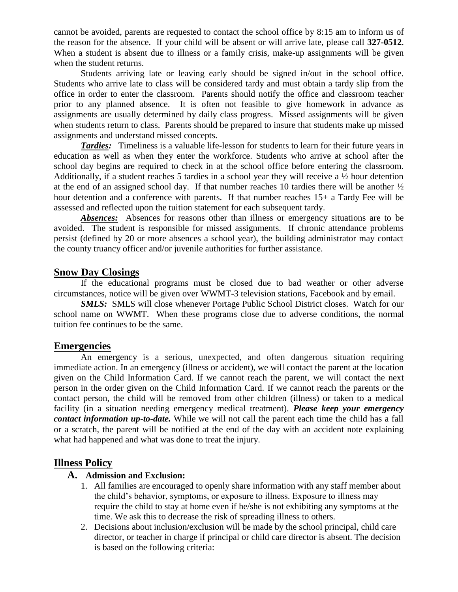cannot be avoided, parents are requested to contact the school office by 8:15 am to inform us of the reason for the absence. If your child will be absent or will arrive late, please call **327-0512**. When a student is absent due to illness or a family crisis, make-up assignments will be given when the student returns.

 Students arriving late or leaving early should be signed in/out in the school office. Students who arrive late to class will be considered tardy and must obtain a tardy slip from the office in order to enter the classroom. Parents should notify the office and classroom teacher prior to any planned absence. It is often not feasible to give homework in advance as assignments are usually determined by daily class progress. Missed assignments will be given when students return to class. Parents should be prepared to insure that students make up missed assignments and understand missed concepts.

*Tardies:* Timeliness is a valuable life-lesson for students to learn for their future years in education as well as when they enter the workforce. Students who arrive at school after the school day begins are required to check in at the school office before entering the classroom. Additionally, if a student reaches 5 tardies in a school year they will receive a ½ hour detention at the end of an assigned school day. If that number reaches 10 tardies there will be another  $\frac{1}{2}$ hour detention and a conference with parents. If that number reaches  $15+$  a Tardy Fee will be assessed and reflected upon the tuition statement for each subsequent tardy.

Absences: Absences for reasons other than illness or emergency situations are to be avoided. The student is responsible for missed assignments. If chronic attendance problems persist (defined by 20 or more absences a school year), the building administrator may contact the county truancy officer and/or juvenile authorities for further assistance.

#### **Snow Day Closings**

If the educational programs must be closed due to bad weather or other adverse circumstances, notice will be given over WWMT-3 television stations, Facebook and by email.

**SMLS:** SMLS will close whenever Portage Public School District closes. Watch for our school name on WWMT. When these programs close due to adverse conditions, the normal tuition fee continues to be the same.

#### **Emergencies**

An emergency is a serious, unexpected, and often dangerous situation requiring immediate action. In an emergency (illness or accident), we will contact the parent at the location given on the Child Information Card. If we cannot reach the parent, we will contact the next person in the order given on the Child Information Card. If we cannot reach the parents or the contact person, the child will be removed from other children (illness) or taken to a medical facility (in a situation needing emergency medical treatment). *Please keep your emergency contact information up-to-date.* While we will not call the parent each time the child has a fall or a scratch, the parent will be notified at the end of the day with an accident note explaining what had happened and what was done to treat the injury.

#### **Illness Policy**

#### **A. Admission and Exclusion:**

- 1. All families are encouraged to openly share information with any staff member about the child's behavior, symptoms, or exposure to illness. Exposure to illness may require the child to stay at home even if he/she is not exhibiting any symptoms at the time. We ask this to decrease the risk of spreading illness to others.
- 2. Decisions about inclusion/exclusion will be made by the school principal, child care director, or teacher in charge if principal or child care director is absent. The decision is based on the following criteria: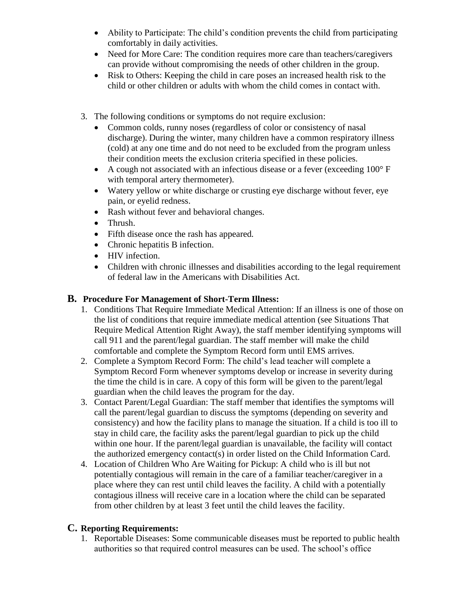- Ability to Participate: The child's condition prevents the child from participating comfortably in daily activities.
- Need for More Care: The condition requires more care than teachers/caregivers can provide without compromising the needs of other children in the group.
- Risk to Others: Keeping the child in care poses an increased health risk to the child or other children or adults with whom the child comes in contact with.
- 3. The following conditions or symptoms do not require exclusion:
	- Common colds, runny noses (regardless of color or consistency of nasal discharge). During the winter, many children have a common respiratory illness (cold) at any one time and do not need to be excluded from the program unless their condition meets the exclusion criteria specified in these policies.
	- A cough not associated with an infectious disease or a fever (exceeding  $100^{\circ}$  F with temporal artery thermometer).
	- Watery yellow or white discharge or crusting eye discharge without fever, eye pain, or eyelid redness.
	- Rash without fever and behavioral changes.
	- Thrush.
	- Fifth disease once the rash has appeared*.*
	- Chronic hepatitis B infection.
	- HIV infection.
	- Children with chronic illnesses and disabilities according to the legal requirement of federal law in the Americans with Disabilities Act.

#### **B. Procedure For Management of Short-Term Illness:**

- 1. Conditions That Require Immediate Medical Attention: If an illness is one of those on the list of conditions that require immediate medical attention (see Situations That Require Medical Attention Right Away), the staff member identifying symptoms will call 911 and the parent/legal guardian. The staff member will make the child comfortable and complete the Symptom Record form until EMS arrives.
- 2. Complete a Symptom Record Form: The child's lead teacher will complete a Symptom Record Form whenever symptoms develop or increase in severity during the time the child is in care. A copy of this form will be given to the parent/legal guardian when the child leaves the program for the day.
- 3. Contact Parent/Legal Guardian: The staff member that identifies the symptoms will call the parent/legal guardian to discuss the symptoms (depending on severity and consistency) and how the facility plans to manage the situation. If a child is too ill to stay in child care, the facility asks the parent/legal guardian to pick up the child within one hour. If the parent/legal guardian is unavailable, the facility will contact the authorized emergency contact(s) in order listed on the Child Information Card.
- 4. Location of Children Who Are Waiting for Pickup: A child who is ill but not potentially contagious will remain in the care of a familiar teacher/caregiver in a place where they can rest until child leaves the facility. A child with a potentially contagious illness will receive care in a location where the child can be separated from other children by at least 3 feet until the child leaves the facility.

#### **C. Reporting Requirements:**

1. Reportable Diseases: Some communicable diseases must be reported to public health authorities so that required control measures can be used. The school's office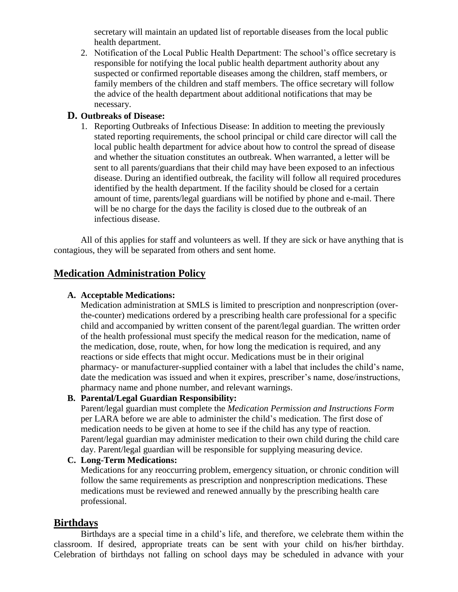secretary will maintain an updated list of reportable diseases from the local public health department.

2. Notification of the Local Public Health Department: The school's office secretary is responsible for notifying the local public health department authority about any suspected or confirmed reportable diseases among the children, staff members, or family members of the children and staff members. The office secretary will follow the advice of the health department about additional notifications that may be necessary.

#### **D. Outbreaks of Disease:**

1. Reporting Outbreaks of Infectious Disease: In addition to meeting the previously stated reporting requirements, the school principal or child care director will call the local public health department for advice about how to control the spread of disease and whether the situation constitutes an outbreak. When warranted, a letter will be sent to all parents/guardians that their child may have been exposed to an infectious disease. During an identified outbreak, the facility will follow all required procedures identified by the health department. If the facility should be closed for a certain amount of time, parents/legal guardians will be notified by phone and e-mail. There will be no charge for the days the facility is closed due to the outbreak of an infectious disease.

All of this applies for staff and volunteers as well. If they are sick or have anything that is contagious, they will be separated from others and sent home.

#### **Medication Administration Policy**

#### **A. Acceptable Medications:**

Medication administration at SMLS is limited to prescription and nonprescription (overthe-counter) medications ordered by a prescribing health care professional for a specific child and accompanied by written consent of the parent/legal guardian. The written order of the health professional must specify the medical reason for the medication, name of the medication, dose, route, when, for how long the medication is required, and any reactions or side effects that might occur. Medications must be in their original pharmacy- or manufacturer-supplied container with a label that includes the child's name, date the medication was issued and when it expires, prescriber's name, dose/instructions, pharmacy name and phone number, and relevant warnings.

#### **B. Parental/Legal Guardian Responsibility:**

Parent/legal guardian must complete the *Medication Permission and Instructions Form* per LARA before we are able to administer the child's medication. The first dose of medication needs to be given at home to see if the child has any type of reaction. Parent/legal guardian may administer medication to their own child during the child care day. Parent/legal guardian will be responsible for supplying measuring device.

#### **C. Long-Term Medications:**

Medications for any reoccurring problem, emergency situation, or chronic condition will follow the same requirements as prescription and nonprescription medications. These medications must be reviewed and renewed annually by the prescribing health care professional.

#### **Birthdays**

Birthdays are a special time in a child's life, and therefore, we celebrate them within the classroom. If desired, appropriate treats can be sent with your child on his/her birthday. Celebration of birthdays not falling on school days may be scheduled in advance with your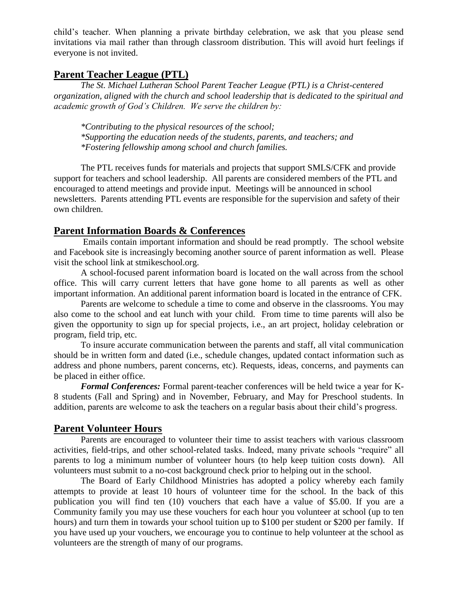child's teacher. When planning a private birthday celebration, we ask that you please send invitations via mail rather than through classroom distribution. This will avoid hurt feelings if everyone is not invited.

#### **Parent Teacher League (PTL)**

*The St. Michael Lutheran School Parent Teacher League (PTL) is a Christ-centered organization, aligned with the church and school leadership that is dedicated to the spiritual and academic growth of God's Children. We serve the children by:*

*\*Contributing to the physical resources of the school; \*Supporting the education needs of the students, parents, and teachers; and \*Fostering fellowship among school and church families.*

The PTL receives funds for materials and projects that support SMLS/CFK and provide support for teachers and school leadership. All parents are considered members of the PTL and encouraged to attend meetings and provide input. Meetings will be announced in school newsletters. Parents attending PTL events are responsible for the supervision and safety of their own children.

#### **Parent Information Boards & Conferences**

Emails contain important information and should be read promptly. The school website and Facebook site is increasingly becoming another source of parent information as well. Please visit the school link at stmikeschool.org.

A school-focused parent information board is located on the wall across from the school office. This will carry current letters that have gone home to all parents as well as other important information. An additional parent information board is located in the entrance of CFK.

Parents are welcome to schedule a time to come and observe in the classrooms. You may also come to the school and eat lunch with your child. From time to time parents will also be given the opportunity to sign up for special projects, i.e., an art project, holiday celebration or program, field trip, etc.

To insure accurate communication between the parents and staff, all vital communication should be in written form and dated (i.e., schedule changes, updated contact information such as address and phone numbers, parent concerns, etc). Requests, ideas, concerns, and payments can be placed in either office.

*Formal Conferences:* Formal parent-teacher conferences will be held twice a year for K-8 students (Fall and Spring) and in November, February, and May for Preschool students. In addition, parents are welcome to ask the teachers on a regular basis about their child's progress.

#### **Parent Volunteer Hours**

Parents are encouraged to volunteer their time to assist teachers with various classroom activities, field-trips, and other school-related tasks. Indeed, many private schools "require" all parents to log a minimum number of volunteer hours (to help keep tuition costs down). All volunteers must submit to a no-cost background check prior to helping out in the school.

The Board of Early Childhood Ministries has adopted a policy whereby each family attempts to provide at least 10 hours of volunteer time for the school. In the back of this publication you will find ten (10) vouchers that each have a value of \$5.00. If you are a Community family you may use these vouchers for each hour you volunteer at school (up to ten hours) and turn them in towards your school tuition up to \$100 per student or \$200 per family. If you have used up your vouchers, we encourage you to continue to help volunteer at the school as volunteers are the strength of many of our programs.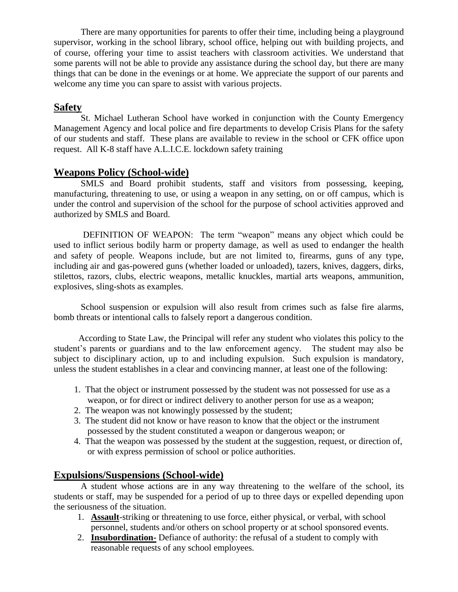There are many opportunities for parents to offer their time, including being a playground supervisor, working in the school library, school office, helping out with building projects, and of course, offering your time to assist teachers with classroom activities. We understand that some parents will not be able to provide any assistance during the school day, but there are many things that can be done in the evenings or at home. We appreciate the support of our parents and welcome any time you can spare to assist with various projects.

#### **Safety**

St. Michael Lutheran School have worked in conjunction with the County Emergency Management Agency and local police and fire departments to develop Crisis Plans for the safety of our students and staff. These plans are available to review in the school or CFK office upon request. All K-8 staff have A.L.I.C.E. lockdown safety training

#### **Weapons Policy (School-wide)**

SMLS and Board prohibit students, staff and visitors from possessing, keeping, manufacturing, threatening to use, or using a weapon in any setting, on or off campus, which is under the control and supervision of the school for the purpose of school activities approved and authorized by SMLS and Board.

DEFINITION OF WEAPON: The term "weapon" means any object which could be used to inflict serious bodily harm or property damage, as well as used to endanger the health and safety of people. Weapons include, but are not limited to, firearms, guns of any type, including air and gas-powered guns (whether loaded or unloaded), tazers, knives, daggers, dirks, stilettos, razors, clubs, electric weapons, metallic knuckles, martial arts weapons, ammunition, explosives, sling-shots as examples.

 School suspension or expulsion will also result from crimes such as false fire alarms, bomb threats or intentional calls to falsely report a dangerous condition.

 According to State Law, the Principal will refer any student who violates this policy to the student's parents or guardians and to the law enforcement agency. The student may also be subject to disciplinary action, up to and including expulsion. Such expulsion is mandatory, unless the student establishes in a clear and convincing manner, at least one of the following:

- 1. That the object or instrument possessed by the student was not possessed for use as a weapon, or for direct or indirect delivery to another person for use as a weapon;
- 2. The weapon was not knowingly possessed by the student;
- 3. The student did not know or have reason to know that the object or the instrument possessed by the student constituted a weapon or dangerous weapon; or
- 4. That the weapon was possessed by the student at the suggestion, request, or direction of, or with express permission of school or police authorities.

#### **Expulsions/Suspensions (School-wide)**

A student whose actions are in any way threatening to the welfare of the school, its students or staff, may be suspended for a period of up to three days or expelled depending upon the seriousness of the situation.

- 1. **Assault**-striking or threatening to use force, either physical, or verbal, with school personnel, students and/or others on school property or at school sponsored events.
- 2. **Insubordination-** Defiance of authority: the refusal of a student to comply with reasonable requests of any school employees.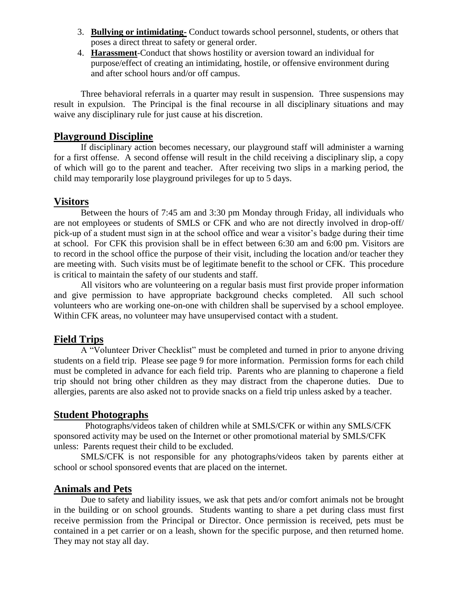- 3. **Bullying or intimidating-** Conduct towards school personnel, students, or others that poses a direct threat to safety or general order.
- 4. **Harassment**-Conduct that shows hostility or aversion toward an individual for purpose/effect of creating an intimidating, hostile, or offensive environment during and after school hours and/or off campus.

Three behavioral referrals in a quarter may result in suspension. Three suspensions may result in expulsion. The Principal is the final recourse in all disciplinary situations and may waive any disciplinary rule for just cause at his discretion.

#### **Playground Discipline**

If disciplinary action becomes necessary, our playground staff will administer a warning for a first offense. A second offense will result in the child receiving a disciplinary slip, a copy of which will go to the parent and teacher. After receiving two slips in a marking period, the child may temporarily lose playground privileges for up to 5 days.

#### **Visitors**

Between the hours of 7:45 am and 3:30 pm Monday through Friday, all individuals who are not employees or students of SMLS or CFK and who are not directly involved in drop-off/ pick-up of a student must sign in at the school office and wear a visitor's badge during their time at school. For CFK this provision shall be in effect between 6:30 am and 6:00 pm. Visitors are to record in the school office the purpose of their visit, including the location and/or teacher they are meeting with. Such visits must be of legitimate benefit to the school or CFK. This procedure is critical to maintain the safety of our students and staff.

All visitors who are volunteering on a regular basis must first provide proper information and give permission to have appropriate background checks completed. All such school volunteers who are working one-on-one with children shall be supervised by a school employee. Within CFK areas, no volunteer may have unsupervised contact with a student.

#### **Field Trips**

A "Volunteer Driver Checklist" must be completed and turned in prior to anyone driving students on a field trip. Please see page 9 for more information. Permission forms for each child must be completed in advance for each field trip. Parents who are planning to chaperone a field trip should not bring other children as they may distract from the chaperone duties. Due to allergies, parents are also asked not to provide snacks on a field trip unless asked by a teacher.

#### **Student Photographs**

 Photographs/videos taken of children while at SMLS/CFK or within any SMLS/CFK sponsored activity may be used on the Internet or other promotional material by SMLS/CFK unless: Parents request their child to be excluded.

SMLS/CFK is not responsible for any photographs/videos taken by parents either at school or school sponsored events that are placed on the internet.

#### **Animals and Pets**

Due to safety and liability issues, we ask that pets and/or comfort animals not be brought in the building or on school grounds. Students wanting to share a pet during class must first receive permission from the Principal or Director. Once permission is received, pets must be contained in a pet carrier or on a leash, shown for the specific purpose, and then returned home. They may not stay all day.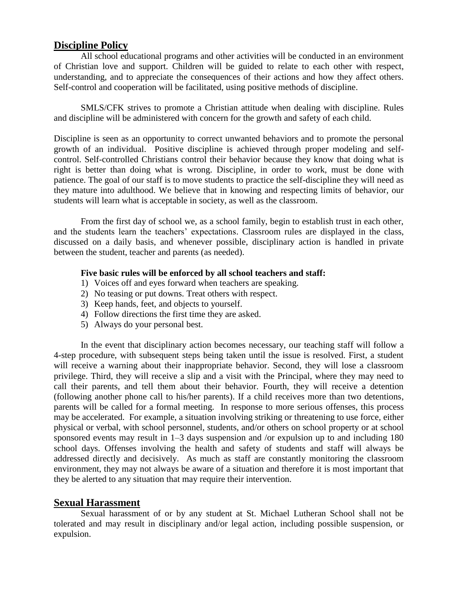#### **Discipline Policy**

All school educational programs and other activities will be conducted in an environment of Christian love and support. Children will be guided to relate to each other with respect, understanding, and to appreciate the consequences of their actions and how they affect others. Self-control and cooperation will be facilitated, using positive methods of discipline.

SMLS/CFK strives to promote a Christian attitude when dealing with discipline. Rules and discipline will be administered with concern for the growth and safety of each child.

Discipline is seen as an opportunity to correct unwanted behaviors and to promote the personal growth of an individual. Positive discipline is achieved through proper modeling and selfcontrol. Self-controlled Christians control their behavior because they know that doing what is right is better than doing what is wrong. Discipline, in order to work, must be done with patience. The goal of our staff is to move students to practice the self-discipline they will need as they mature into adulthood. We believe that in knowing and respecting limits of behavior, our students will learn what is acceptable in society, as well as the classroom.

From the first day of school we, as a school family, begin to establish trust in each other, and the students learn the teachers' expectations. Classroom rules are displayed in the class, discussed on a daily basis, and whenever possible, disciplinary action is handled in private between the student, teacher and parents (as needed).

#### **Five basic rules will be enforced by all school teachers and staff:**

- 1) Voices off and eyes forward when teachers are speaking.
- 2) No teasing or put downs. Treat others with respect.
- 3) Keep hands, feet, and objects to yourself.
- 4) Follow directions the first time they are asked.
- 5) Always do your personal best.

In the event that disciplinary action becomes necessary, our teaching staff will follow a 4-step procedure, with subsequent steps being taken until the issue is resolved. First, a student will receive a warning about their inappropriate behavior. Second, they will lose a classroom privilege. Third, they will receive a slip and a visit with the Principal, where they may need to call their parents, and tell them about their behavior. Fourth, they will receive a detention (following another phone call to his/her parents). If a child receives more than two detentions, parents will be called for a formal meeting. In response to more serious offenses, this process may be accelerated. For example, a situation involving striking or threatening to use force, either physical or verbal, with school personnel, students, and/or others on school property or at school sponsored events may result in 1–3 days suspension and /or expulsion up to and including 180 school days. Offenses involving the health and safety of students and staff will always be addressed directly and decisively. As much as staff are constantly monitoring the classroom environment, they may not always be aware of a situation and therefore it is most important that they be alerted to any situation that may require their intervention.

#### **Sexual Harassment**

Sexual harassment of or by any student at St. Michael Lutheran School shall not be tolerated and may result in disciplinary and/or legal action, including possible suspension, or expulsion.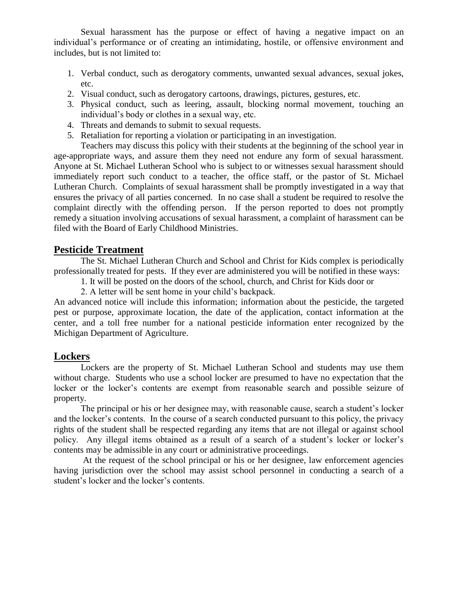Sexual harassment has the purpose or effect of having a negative impact on an individual's performance or of creating an intimidating, hostile, or offensive environment and includes, but is not limited to:

- 1. Verbal conduct, such as derogatory comments, unwanted sexual advances, sexual jokes, etc.
- 2. Visual conduct, such as derogatory cartoons, drawings, pictures, gestures, etc.
- 3. Physical conduct, such as leering, assault, blocking normal movement, touching an individual's body or clothes in a sexual way, etc.
- 4. Threats and demands to submit to sexual requests.
- 5. Retaliation for reporting a violation or participating in an investigation.

Teachers may discuss this policy with their students at the beginning of the school year in age-appropriate ways, and assure them they need not endure any form of sexual harassment. Anyone at St. Michael Lutheran School who is subject to or witnesses sexual harassment should immediately report such conduct to a teacher, the office staff, or the pastor of St. Michael Lutheran Church. Complaints of sexual harassment shall be promptly investigated in a way that ensures the privacy of all parties concerned. In no case shall a student be required to resolve the complaint directly with the offending person. If the person reported to does not promptly remedy a situation involving accusations of sexual harassment, a complaint of harassment can be filed with the Board of Early Childhood Ministries.

#### **Pesticide Treatment**

The St. Michael Lutheran Church and School and Christ for Kids complex is periodically professionally treated for pests. If they ever are administered you will be notified in these ways:

1. It will be posted on the doors of the school, church, and Christ for Kids door or

2. A letter will be sent home in your child's backpack.

An advanced notice will include this information; information about the pesticide, the targeted pest or purpose, approximate location, the date of the application, contact information at the center, and a toll free number for a national pesticide information enter recognized by the Michigan Department of Agriculture.

#### **Lockers**

 Lockers are the property of St. Michael Lutheran School and students may use them without charge. Students who use a school locker are presumed to have no expectation that the locker or the locker's contents are exempt from reasonable search and possible seizure of property.

 The principal or his or her designee may, with reasonable cause, search a student's locker and the locker's contents. In the course of a search conducted pursuant to this policy, the privacy rights of the student shall be respected regarding any items that are not illegal or against school policy. Any illegal items obtained as a result of a search of a student's locker or locker's contents may be admissible in any court or administrative proceedings.

At the request of the school principal or his or her designee, law enforcement agencies having jurisdiction over the school may assist school personnel in conducting a search of a student's locker and the locker's contents.